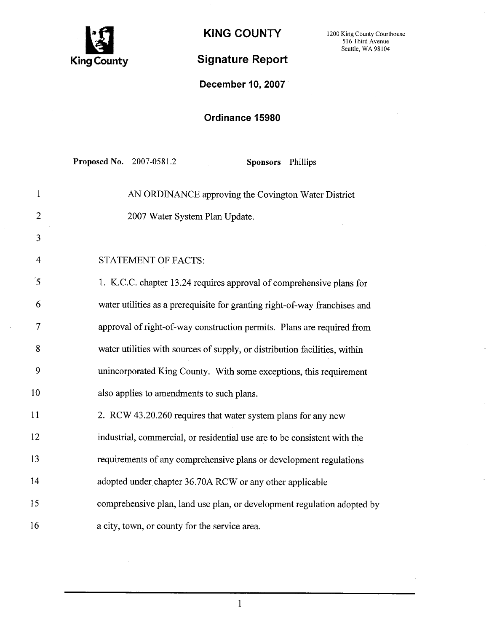

## Signature Report

KING COUNTY 1200 King County Courthouse 516 Third Avenue Seattle, WA 98104

December 10, 2007

## Ordinance 15980

|                      | Proposed No. 2007-0581.2<br>Sponsors Phillips                              |
|----------------------|----------------------------------------------------------------------------|
| $\mathbf{1}$         | AN ORDINANCE approving the Covington Water District                        |
| $\overline{2}$       | 2007 Water System Plan Update.                                             |
| 3                    |                                                                            |
| $\overline{4}$       | STATEMENT OF FACTS:                                                        |
| $\tilde{\mathbf{5}}$ | 1. K.C.C. chapter 13.24 requires approval of comprehensive plans for       |
| 6                    | water utilities as a prerequisite for granting right-of-way franchises and |
| $\overline{7}$       | approval of right-of-way construction permits. Plans are required from     |
| 8                    | water utilities with sources of supply, or distribution facilities, within |
| 9                    | unincorporated King County. With some exceptions, this requirement         |
| 10                   | also applies to amendments to such plans.                                  |
| 11                   | 2. RCW 43.20.260 requires that water system plans for any new              |
| 12                   | industrial, commercial, or residential use are to be consistent with the   |
| 13                   | requirements of any comprehensive plans or development regulations         |
| 14                   | adopted under chapter 36.70A RCW or any other applicable                   |
| 15                   | comprehensive plan, land use plan, or development regulation adopted by    |
| 16                   | a city, town, or county for the service area.                              |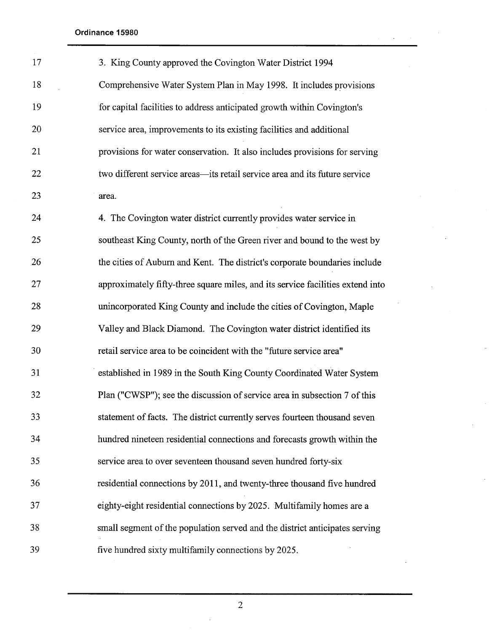| 17 | 3. King County approved the Covington Water District 1994                      |
|----|--------------------------------------------------------------------------------|
| 18 | Comprehensive Water System Plan in May 1998. It includes provisions            |
| 19 | for capital facilities to address anticipated growth within Covington's        |
| 20 | service area, improvements to its existing facilities and additional           |
| 21 | provisions for water conservation. It also includes provisions for serving     |
| 22 | two different service areas—its retail service area and its future service     |
| 23 | area.                                                                          |
| 24 | 4. The Covington water district currently provides water service in            |
| 25 | southeast King County, north of the Green river and bound to the west by       |
| 26 | the cities of Auburn and Kent. The district's corporate boundaries include     |
| 27 | approximately fifty-three square miles, and its service facilities extend into |
| 28 | unincorporated King County and include the cities of Covington, Maple          |
| 29 | Valley and Black Diamond. The Covington water district identified its          |
| 30 | retail service area to be coincident with the "future service area"            |
| 31 | established in 1989 in the South King County Coordinated Water System          |
| 32 | Plan ("CWSP"); see the discussion of service area in subsection 7 of this      |
| 33 | statement of facts. The district currently serves fourteen thousand seven      |
| 34 | hundred nineteen residential connections and forecasts growth within the       |
| 35 | service area to over seventeen thousand seven hundred forty-six                |
| 36 | residential connections by 2011, and twenty-three thousand five hundred        |
| 37 | eighty-eight residential connections by 2025. Multifamily homes are a          |
| 38 | small segment of the population served and the district anticipates serving    |
| 39 | five hundred sixty multifamily connections by 2025.                            |

 $\bar{z}$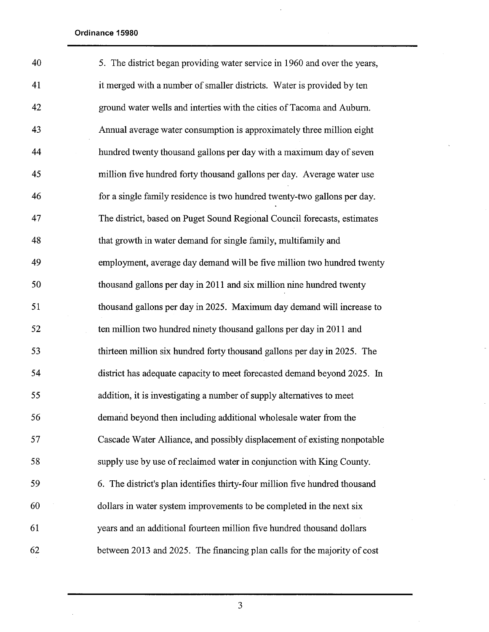$\hat{\mathcal{L}}$ 

| 40 | 5. The district began providing water service in 1960 and over the years,   |
|----|-----------------------------------------------------------------------------|
| 41 | it merged with a number of smaller districts. Water is provided by ten      |
| 42 | ground water wells and interties with the cities of Tacoma and Auburn.      |
| 43 | Annual average water consumption is approximately three million eight       |
| 44 | hundred twenty thousand gallons per day with a maximum day of seven         |
| 45 | million five hundred forty thousand gallons per day. Average water use      |
| 46 | for a single family residence is two hundred twenty-two gallons per day.    |
| 47 | The district, based on Puget Sound Regional Council forecasts, estimates    |
| 48 | that growth in water demand for single family, multifamily and              |
| 49 | employment, average day demand will be five million two hundred twenty      |
| 50 | thousand gallons per day in 2011 and six million nine hundred twenty        |
| 51 | thousand gallons per day in 2025. Maximum day demand will increase to       |
| 52 | ten million two hundred ninety thousand gallons per day in 2011 and         |
| 53 | thirteen million six hundred forty thousand gallons per day in 2025. The    |
| 54 | district has adequate capacity to meet forecasted demand beyond 2025. In    |
| 55 | addition, it is investigating a number of supply alternatives to meet       |
| 56 | demand beyond then including additional wholesale water from the            |
| 57 | Cascade Water Alliance, and possibly displacement of existing nonpotable    |
| 58 | supply use by use of reclaimed water in conjunction with King County.       |
| 59 | 6. The district's plan identifies thirty-four million five hundred thousand |
| 60 | dollars in water system improvements to be completed in the next six        |
| 61 | years and an additional fourteen million five hundred thousand dollars      |
| 62 | between 2013 and 2025. The financing plan calls for the majority of cost    |

 $\hat{\mathcal{L}}$ 

 $\ddot{\phantom{a}}$ 

l.

 $\bar{\mathbb{Z}}$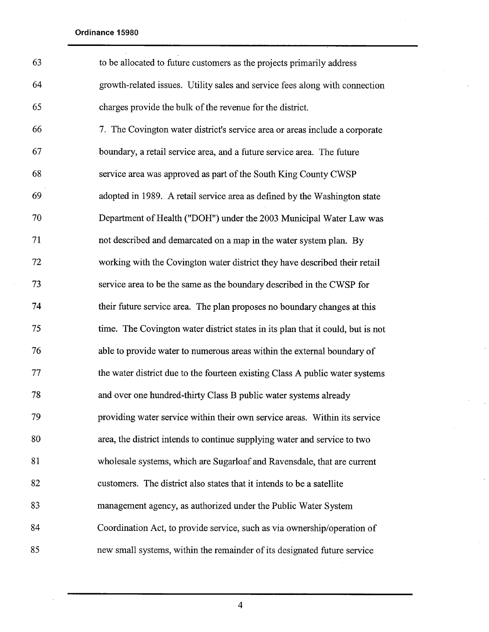| 63 | to be allocated to future customers as the projects primarily address           |
|----|---------------------------------------------------------------------------------|
| 64 | growth-related issues. Utility sales and service fees along with connection     |
| 65 | charges provide the bulk of the revenue for the district.                       |
| 66 | 7. The Covington water district's service area or areas include a corporate     |
| 67 | boundary, a retail service area, and a future service area. The future          |
| 68 | service area was approved as part of the South King County CWSP                 |
| 69 | adopted in 1989. A retail service area as defined by the Washington state       |
| 70 | Department of Health ("DOH") under the 2003 Municipal Water Law was             |
| 71 | not described and demarcated on a map in the water system plan. By              |
| 72 | working with the Covington water district they have described their retail      |
| 73 | service area to be the same as the boundary described in the CWSP for           |
| 74 | their future service area. The plan proposes no boundary changes at this        |
| 75 | time. The Covington water district states in its plan that it could, but is not |
| 76 | able to provide water to numerous areas within the external boundary of         |
| 77 | the water district due to the fourteen existing Class A public water systems    |
| 78 | and over one hundred-thirty Class B public water systems already                |
| 79 | providing water service within their own service areas. Within its service      |
| 80 | area, the district intends to continue supplying water and service to two       |
| 81 | wholesale systems, which are Sugarloaf and Ravensdale, that are current         |
| 82 | customers. The district also states that it intends to be a satellite           |
| 83 | management agency, as authorized under the Public Water System                  |
| 84 | Coordination Act, to provide service, such as via ownership/operation of        |
| 85 | new small systems, within the remainder of its designated future service        |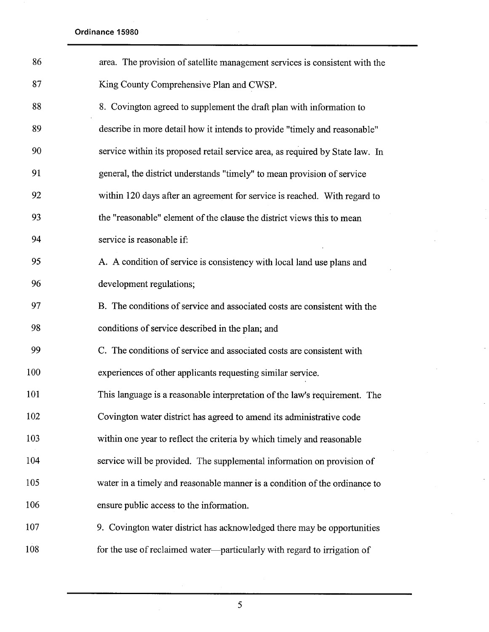| 86  | area. The provision of satellite management services is consistent with the   |
|-----|-------------------------------------------------------------------------------|
| 87  | King County Comprehensive Plan and CWSP.                                      |
| 88  | 8. Covington agreed to supplement the draft plan with information to          |
| 89  | describe in more detail how it intends to provide "timely and reasonable"     |
| 90  | service within its proposed retail service area, as required by State law. In |
| 91  | general, the district understands "timely" to mean provision of service       |
| 92  | within 120 days after an agreement for service is reached. With regard to     |
| 93  | the "reasonable" element of the clause the district views this to mean        |
| 94  | service is reasonable if:                                                     |
| 95  | A. A condition of service is consistency with local land use plans and        |
| 96  | development regulations;                                                      |
| 97  | B. The conditions of service and associated costs are consistent with the     |
| 98  | conditions of service described in the plan; and                              |
| 99  | C. The conditions of service and associated costs are consistent with         |
| 100 | experiences of other applicants requesting similar service.                   |
| 101 | This language is a reasonable interpretation of the law's requirement. The    |
| 102 | Covington water district has agreed to amend its administrative code          |
| 103 | within one year to reflect the criteria by which timely and reasonable        |
| 104 | service will be provided. The supplemental information on provision of        |
| 105 | water in a timely and reasonable manner is a condition of the ordinance to    |
| 106 | ensure public access to the information.                                      |
| 107 | 9. Covington water district has acknowledged there may be opportunities       |
| 108 | for the use of reclaimed water-particularly with regard to irrigation of      |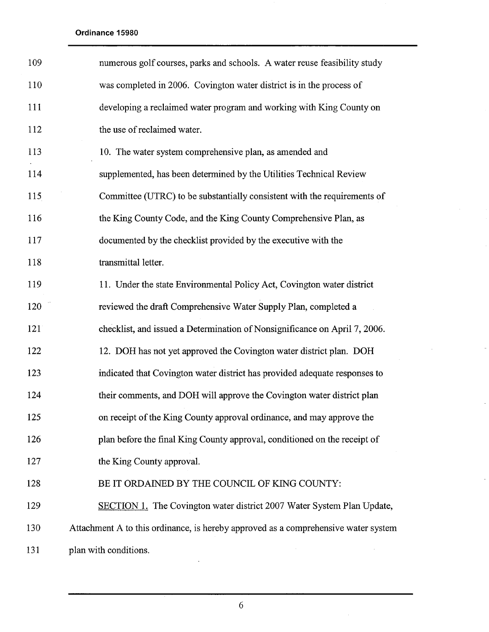| 109 | numerous golf courses, parks and schools. A water reuse feasibility study          |
|-----|------------------------------------------------------------------------------------|
| 110 | was completed in 2006. Covington water district is in the process of               |
| 111 | developing a reclaimed water program and working with King County on               |
| 112 | the use of reclaimed water.                                                        |
| 113 | 10. The water system comprehensive plan, as amended and                            |
| 114 | supplemented, has been determined by the Utilities Technical Review                |
| 115 | Committee (UTRC) to be substantially consistent with the requirements of           |
| 116 | the King County Code, and the King County Comprehensive Plan, as                   |
| 117 | documented by the checklist provided by the executive with the                     |
| 118 | transmittal letter.                                                                |
| 119 | 11. Under the state Environmental Policy Act, Covington water district             |
| 120 | reviewed the draft Comprehensive Water Supply Plan, completed a                    |
| 121 | checklist, and issued a Determination of Nonsignificance on April 7, 2006.         |
| 122 | 12. DOH has not yet approved the Covington water district plan. DOH                |
| 123 | indicated that Covington water district has provided adequate responses to         |
| 124 | their comments, and DOH will approve the Covington water district plan             |
| 125 | on receipt of the King County approval ordinance, and may approve the              |
| 126 | plan before the final King County approval, conditioned on the receipt of          |
| 127 | the King County approval.                                                          |
| 128 | BE IT ORDAINED BY THE COUNCIL OF KING COUNTY:                                      |
| 129 | <b>SECTION 1.</b> The Covington water district 2007 Water System Plan Update,      |
| 130 | Attachment A to this ordinance, is hereby approved as a comprehensive water system |
| 131 | plan with conditions.                                                              |

 $\sim$ 

 $\overline{a}$ 

 $\mathcal{L}_{\mathcal{A}}$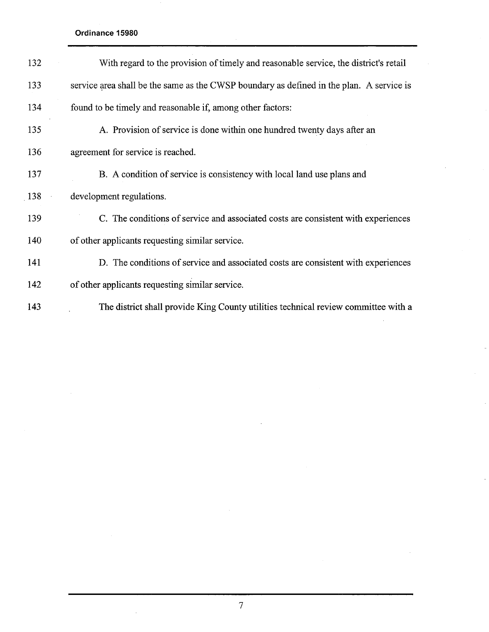| 132 | With regard to the provision of timely and reasonable service, the district's retail     |
|-----|------------------------------------------------------------------------------------------|
| 133 | service area shall be the same as the CWSP boundary as defined in the plan. A service is |
| 134 | found to be timely and reasonable if, among other factors:                               |
| 135 | A. Provision of service is done within one hundred twenty days after an                  |
| 136 | agreement for service is reached.                                                        |
| 137 | B. A condition of service is consistency with local land use plans and                   |
| 138 | development regulations.                                                                 |
| 139 | C. The conditions of service and associated costs are consistent with experiences        |
| 140 | of other applicants requesting similar service.                                          |
| 141 | D. The conditions of service and associated costs are consistent with experiences        |
| 142 | of other applicants requesting similar service.                                          |
| 143 | The district shall provide King County utilities technical review committee with a       |